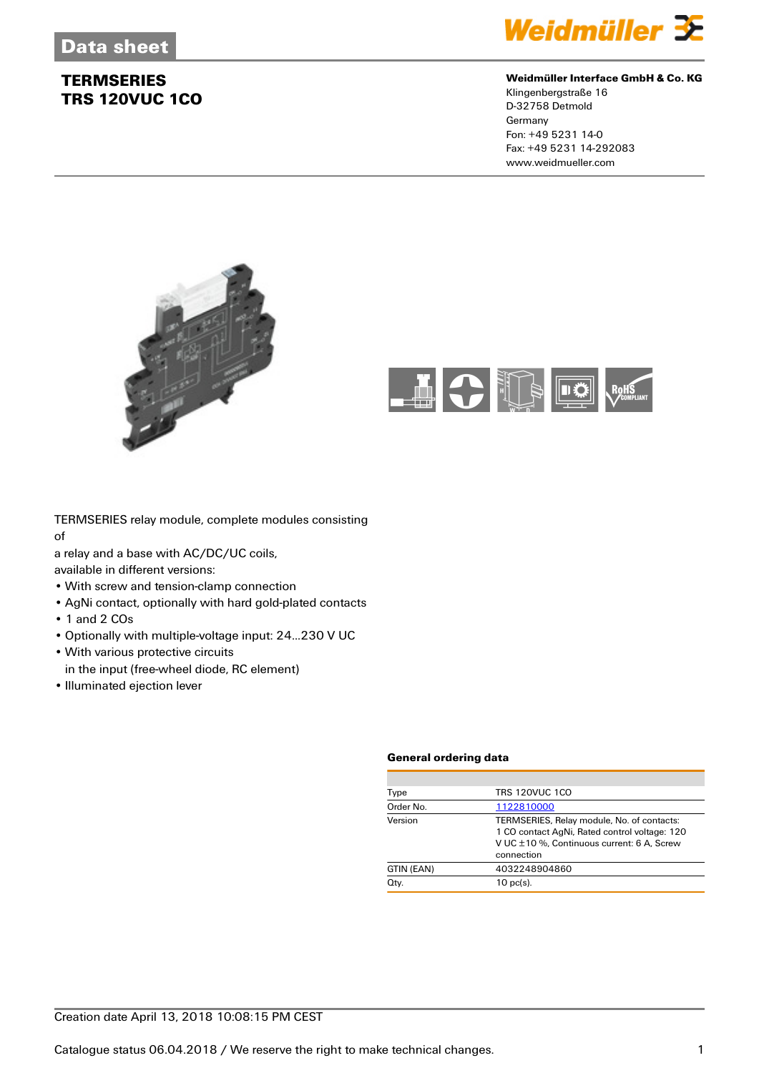

#### **Weidmüller Interface GmbH & Co. KG**

Klingenbergstraße 16 D-32758 Detmold Germany Fon: +49 5231 14-0 Fax: +49 5231 14-292083 www.weidmueller.com





TERMSERIES relay module, complete modules consisting of

a relay and a base with AC/DC/UC coils,

available in different versions:

- With screw and tension-clamp connection
- AgNi contact, optionally with hard gold-plated contacts
- 1 and 2 COs
- Optionally with multiple-voltage input: 24...230 V UC
- With various protective circuits
- in the input (free-wheel diode, RC element)
- Illuminated ejection lever

#### **General ordering data**

| <b>TRS 120VUC 1CO</b>                                                                                                                                   |
|---------------------------------------------------------------------------------------------------------------------------------------------------------|
| 1122810000                                                                                                                                              |
| TERMSERIES, Relay module, No. of contacts:<br>1 CO contact AgNi, Rated control voltage: 120<br>V UC ±10 %, Continuous current: 6 A, Screw<br>connection |
| 4032248904860                                                                                                                                           |
| $10$ pc(s).                                                                                                                                             |
|                                                                                                                                                         |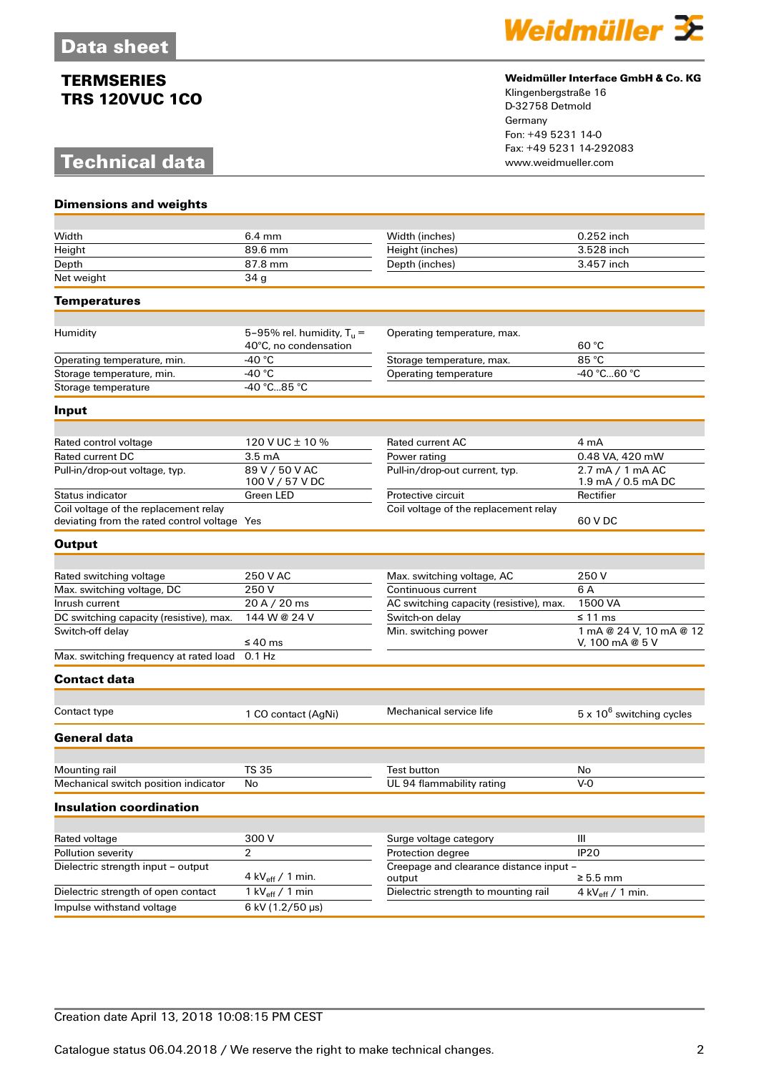# **Technical data**



#### **Weidmüller Interface GmbH & Co. KG**

Klingenbergstraße 16 D-32758 Detmold Germany Fon: +49 5231 14-0 Fax: +49 5231 14-292083

| <b>Dimensions and weights</b>                                                         |                                                       |                                                   |                                            |
|---------------------------------------------------------------------------------------|-------------------------------------------------------|---------------------------------------------------|--------------------------------------------|
|                                                                                       |                                                       |                                                   |                                            |
| Width                                                                                 | $6.4 \text{ mm}$                                      | Width (inches)                                    | 0.252 inch                                 |
| Height                                                                                | 89.6 mm                                               | Height (inches)                                   | 3.528 inch                                 |
| Depth                                                                                 | 87.8 mm                                               | Depth (inches)                                    | 3.457 inch                                 |
| Net weight                                                                            | 34 <sub>g</sub>                                       |                                                   |                                            |
| Temperatures                                                                          |                                                       |                                                   |                                            |
|                                                                                       |                                                       |                                                   |                                            |
| Humidity                                                                              | 5-95% rel. humidity, $T_u =$<br>40°C, no condensation | Operating temperature, max.                       | 60 °C                                      |
| Operating temperature, min.                                                           | -40 $^{\circ}$ C                                      | Storage temperature, max.                         | 85 °C                                      |
| Storage temperature, min.                                                             | -40 $^{\circ}$ C                                      | Operating temperature                             | -40 °C60 °C                                |
| Storage temperature                                                                   | -40 °C85 °C                                           |                                                   |                                            |
| Input                                                                                 |                                                       |                                                   |                                            |
|                                                                                       |                                                       | <b>Rated current AC</b>                           |                                            |
| Rated control voltage<br>Rated current DC                                             | 120 V UC ± 10 %                                       |                                                   | 4 mA<br>0.48 VA, 420 mW                    |
|                                                                                       | 3.5 <sub>mA</sub><br>89 V / 50 V AC                   | Power rating                                      | 2.7 mA / 1 mA AC                           |
| Pull-in/drop-out voltage, typ.                                                        | 100 V / 57 V DC                                       | Pull-in/drop-out current, typ.                    | 1.9 mA / 0.5 mA DC                         |
| Status indicator                                                                      | Green LED                                             | Protective circuit                                | Rectifier                                  |
| Coil voltage of the replacement relay<br>deviating from the rated control voltage Yes |                                                       | Coil voltage of the replacement relay             | 60 V DC                                    |
| <b>Output</b>                                                                         |                                                       |                                                   |                                            |
|                                                                                       |                                                       |                                                   |                                            |
| Rated switching voltage                                                               | 250 V AC                                              | Max. switching voltage, AC                        | 250 V                                      |
| Max. switching voltage, DC                                                            | 250V                                                  | Continuous current                                | 6 A                                        |
| Inrush current                                                                        | 20 A / 20 ms                                          | AC switching capacity (resistive), max.           | 1500 VA                                    |
| DC switching capacity (resistive), max.                                               | 144 W @ 24 V                                          | Switch-on delay                                   | ≤ 11 ms                                    |
| Switch-off delay                                                                      | $\leq 40$ ms                                          | Min. switching power                              | 1 mA @ 24 V, 10 mA @ 12<br>V, 100 mA @ 5 V |
| Max. switching frequency at rated load                                                | $0.1$ Hz                                              |                                                   |                                            |
| <b>Contact data</b>                                                                   |                                                       |                                                   |                                            |
| Contact type                                                                          | 1 CO contact (AgNi)                                   | Mechanical service life                           | $5 \times 10^6$ switching cycles           |
|                                                                                       |                                                       |                                                   |                                            |
| <b>General data</b>                                                                   |                                                       |                                                   |                                            |
| Mounting rail                                                                         | <b>TS 35</b>                                          | Test button                                       | $\mathsf{No}$                              |
| Mechanical switch position indicator                                                  | No                                                    | UL 94 flammability rating                         | $V - O$                                    |
| <b>Insulation coordination</b>                                                        |                                                       |                                                   |                                            |
|                                                                                       |                                                       |                                                   |                                            |
| Rated voltage                                                                         | 300V                                                  | Surge voltage category                            | Ш                                          |
| Pollution severity                                                                    | $\overline{2}$                                        | Protection degree                                 | <b>IP20</b>                                |
| Dielectric strength input - output                                                    | 4 kV $_{\text{eff}}$ / 1 min.                         | Creepage and clearance distance input -<br>output | $\geq 5.5$ mm                              |
| Dielectric strength of open contact                                                   | 1 kV $_{\text{eff}}$ / 1 min                          | Dielectric strength to mounting rail              | 4 kV $_{\text{eff}}$ / 1 min.              |
| Impulse withstand voltage                                                             | $6$ kV (1.2/50 µs)                                    |                                                   |                                            |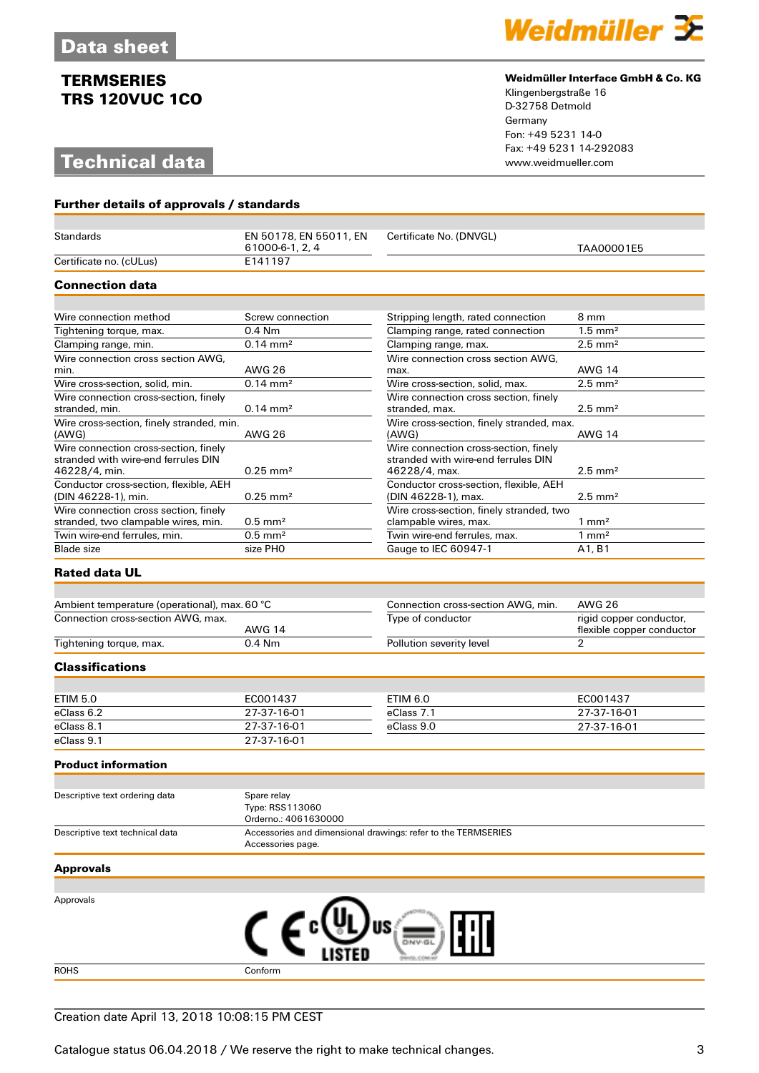# **Technical data**



#### **Weidmüller Interface GmbH & Co. KG**

Klingenbergstraße 16 D-32758 Detmold Germany Fon: +49 5231 14-0 Fax: +49 5231 14-292083

| Further details of approvals / standards                      |                                                        |                                                               |                                 |  |
|---------------------------------------------------------------|--------------------------------------------------------|---------------------------------------------------------------|---------------------------------|--|
|                                                               |                                                        |                                                               |                                 |  |
| <b>Standards</b>                                              | EN 50178, EN 55011, EN<br>61000-6-1, 2, 4              | Certificate No. (DNVGL)                                       | TAA00001E5                      |  |
| Certificate no. (cULus)                                       | E141197                                                |                                                               |                                 |  |
| <b>Connection data</b>                                        |                                                        |                                                               |                                 |  |
|                                                               |                                                        |                                                               |                                 |  |
| Wire connection method                                        | Screw connection                                       | Stripping length, rated connection                            | 8 mm                            |  |
| Tightening torque, max.                                       | $0.4$ Nm                                               | Clamping range, rated connection                              | $1.5 \text{ mm}^2$              |  |
| Clamping range, min.                                          | $0.14 \, \text{mm}^2$                                  | Clamping range, max.                                          | $2.5$ mm <sup>2</sup>           |  |
| Wire connection cross section AWG,                            |                                                        | Wire connection cross section AWG.                            |                                 |  |
| min.                                                          | <b>AWG 26</b>                                          | max.                                                          | <b>AWG 14</b>                   |  |
| Wire cross-section, solid, min.                               | $0.14 \, \text{mm}^2$                                  | Wire cross-section, solid, max.                               | $2.5$ mm <sup>2</sup>           |  |
| Wire connection cross-section, finely                         |                                                        | Wire connection cross section, finely                         |                                 |  |
| stranded, min.<br>Wire cross-section, finely stranded, min.   | $0.14 \, \text{mm}^2$                                  | stranded, max.<br>Wire cross-section, finely stranded, max.   | $2.5$ mm <sup>2</sup>           |  |
| (AWG)                                                         | AWG 26                                                 | (AWG)                                                         | <b>AWG 14</b>                   |  |
| Wire connection cross-section, finely                         |                                                        | Wire connection cross-section, finely                         |                                 |  |
| stranded with wire-end ferrules DIN<br>46228/4, min.          | $0.25$ mm <sup>2</sup>                                 | stranded with wire-end ferrules DIN<br>46228/4, max.          | $2.5 \text{ mm}^2$              |  |
| Conductor cross-section, flexible, AEH<br>(DIN 46228-1), min. | $0.25$ mm <sup>2</sup>                                 | Conductor cross-section, flexible, AEH<br>(DIN 46228-1), max. | $2.5 \text{ mm}^2$              |  |
| Wire connection cross section, finely                         |                                                        | Wire cross-section, finely stranded, two                      |                                 |  |
| stranded, two clampable wires, min.                           | $0.5$ mm <sup>2</sup>                                  | clampable wires, max.                                         | $1 \text{ mm}^2$                |  |
| Twin wire-end ferrules, min.                                  | $0.5$ mm <sup>2</sup>                                  | Twin wire-end ferrules, max.                                  | $1 \text{ mm}^2$                |  |
| <b>Blade</b> size                                             | size PHO                                               | Gauge to IEC 60947-1                                          | A <sub>1</sub> , B <sub>1</sub> |  |
| <b>Rated data UL</b>                                          |                                                        |                                                               |                                 |  |
| Ambient temperature (operational), max. 60 °C                 |                                                        | Connection cross-section AWG, min.                            | <b>AWG 26</b>                   |  |
| Connection cross-section AWG, max.                            |                                                        | Type of conductor                                             | rigid copper conductor,         |  |
|                                                               | <b>AWG 14</b>                                          |                                                               | flexible copper conductor       |  |
| Tightening torque, max.                                       | $0.4$ Nm                                               | Pollution severity level                                      | $\mathcal{P}$                   |  |
| <b>Classifications</b>                                        |                                                        |                                                               |                                 |  |
|                                                               |                                                        |                                                               |                                 |  |
| <b>ETIM 5.0</b>                                               | EC001437                                               | <b>ETIM 6.0</b>                                               | EC001437                        |  |
| eClass 6.2                                                    | 27-37-16-01                                            | eClass 7.1                                                    | 27-37-16-01                     |  |
| eClass 8.1                                                    | 27-37-16-01                                            | eClass 9.0                                                    | 27-37-16-01                     |  |
| eClass 9.1                                                    | 27-37-16-01                                            |                                                               |                                 |  |
| <b>Product information</b>                                    |                                                        |                                                               |                                 |  |
|                                                               |                                                        |                                                               |                                 |  |
| Descriptive text ordering data                                | Spare relay<br>Type: RSS113060<br>Orderno.: 4061630000 |                                                               |                                 |  |
| Descriptive text technical data                               | Accessories page.                                      | Accessories and dimensional drawings: refer to the TERMSERIES |                                 |  |
| <b>Approvals</b>                                              |                                                        |                                                               |                                 |  |
|                                                               |                                                        |                                                               |                                 |  |
| Approvals                                                     |                                                        |                                                               |                                 |  |
|                                                               |                                                        |                                                               |                                 |  |
|                                                               |                                                        | US                                                            |                                 |  |
|                                                               |                                                        |                                                               |                                 |  |
|                                                               |                                                        |                                                               |                                 |  |

ROHS Conform

#### Creation date April 13, 2018 10:08:15 PM CEST

Catalogue status 06.04.2018 / We reserve the right to make technical changes. 33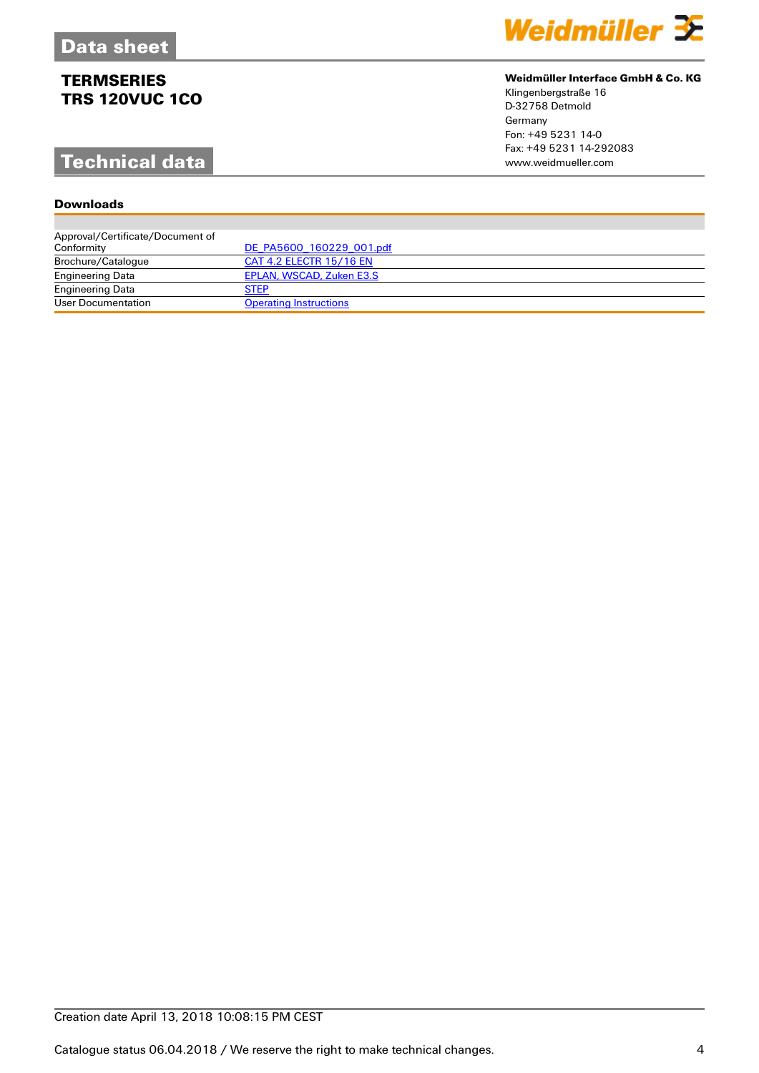# **Technical data**

### **Downloads**

| Weidmüller 32 |  |  |
|---------------|--|--|
|               |  |  |

### **Weidmüller Interface GmbH & Co. KG**

Klingenbergstraße 16 D-32758 Detmold Germany Fon: +49 5231 14-0 Fax: +49 5231 14-292083

| Approval/Certificate/Document of |                               |
|----------------------------------|-------------------------------|
| Conformity                       | DE PA5600 160229 001.pdf      |
| Brochure/Catalogue               | CAT 4.2 ELECTR 15/16 EN       |
| <b>Engineering Data</b>          | EPLAN, WSCAD, Zuken E3.S      |
| <b>Engineering Data</b>          | <b>STEP</b>                   |
| User Documentation               | <b>Operating Instructions</b> |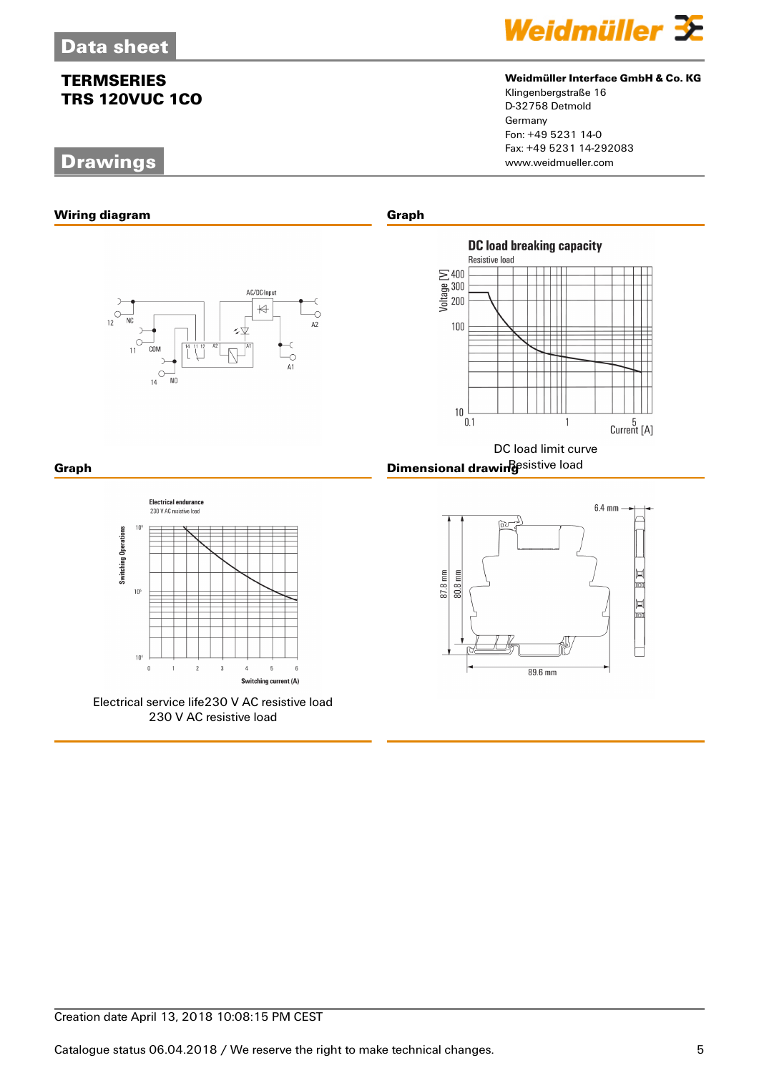# **Drawings**



### **Weidmüller Interface GmbH & Co. KG**

Klingenbergstraße 16 D-32758 Detmold Germany Fon: +49 5231 14-0 Fax: +49 5231 14-292083